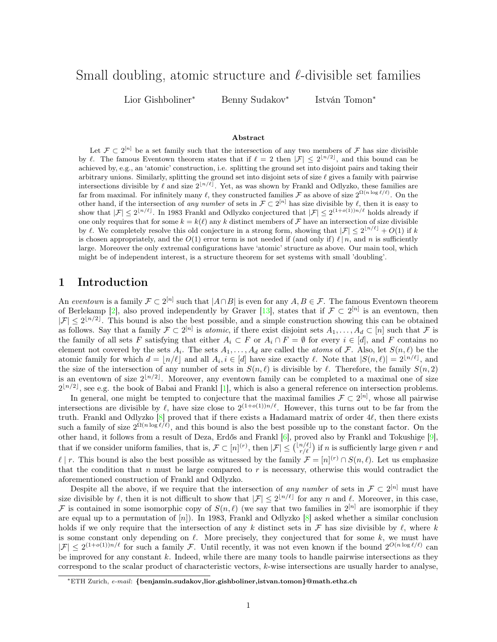# Small doubling, atomic structure and  $\ell$ -divisible set families

Lior Gishboliner<sup>∗</sup> Benny Sudakov<sup>∗</sup>

István Tomon<sup>∗</sup>

#### Abstract

Let  $\mathcal{F} \subset 2^{[n]}$  be a set family such that the intersection of any two members of  $\mathcal{F}$  has size divisible by  $\ell$ . The famous Eventown theorem states that if  $\ell = 2$  then  $|\mathcal{F}| \leq 2^{\lfloor n/2 \rfloor}$ , and this bound can be achieved by, e.g., an 'atomic' construction, i.e. splitting the ground set into disjoint pairs and taking their arbitrary unions. Similarly, splitting the ground set into disjoint sets of size  $\ell$  gives a family with pairwise intersections divisible by  $\ell$  and size  $2^{\lfloor n/\ell \rfloor}$ . Yet, as was shown by Frankl and Odlyzko, these families are far from maximal. For infinitely many  $\ell$ , they constructed families F as above of size  $2^{\Omega(n \log \ell/\ell)}$ . On the other hand, if the intersection of any number of sets in  $\mathcal{F} \subset 2^{[n]}$  has size divisible by  $\ell$ , then it is easy to show that  $|\mathcal{F}| \leq 2^{\lfloor n/\ell \rfloor}$ . In 1983 Frankl and Odlyzko conjectured that  $|\mathcal{F}| \leq 2^{(1+o(1))n/\ell}$  holds already if one only requires that for some  $k = k(\ell)$  any k distinct members of F have an intersection of size divisible by  $\ell$ . We completely resolve this old conjecture in a strong form, showing that  $|\mathcal{F}| \leq 2^{\lfloor n/\ell \rfloor} + O(1)$  if k is chosen appropriately, and the  $O(1)$  error term is not needed if (and only if)  $\ell \mid n$ , and n is sufficiently large. Moreover the only extremal configurations have 'atomic' structure as above. Our main tool, which might be of independent interest, is a structure theorem for set systems with small 'doubling'.

### 1 Introduction

An eventown is a family  $\mathcal{F} \subset 2^{[n]}$  such that  $|A \cap B|$  is even for any  $A, B \in \mathcal{F}$ . The famous Eventown theorem of Berlekamp [\[2\]](#page-10-0), also proved independently by Graver [\[13\]](#page-10-1), states that if  $\mathcal{F} \subset 2^{[n]}$  is an eventown, then  $|\mathcal{F}| \leq 2^{\lfloor n/2 \rfloor}$ . This bound is also the best possible, and a simple construction showing this can be obtained as follows. Say that a family  $\mathcal{F} \subset 2^{[n]}$  is *atomic*, if there exist disjoint sets  $A_1, \ldots, A_d \subset [n]$  such that  $\mathcal F$  is the family of all sets F satisfying that either  $A_i \subset F$  or  $A_i \cap F = \emptyset$  for every  $i \in [d]$ , and F contains no element not covered by the sets  $A_i$ . The sets  $A_1, \ldots, A_d$  are called the *atoms* of  $\mathcal F$ . Also, let  $S(n, \ell)$  be the atomic family for which  $d = \lfloor n/\ell \rfloor$  and all  $A_i, i \in [d]$  have size exactly  $\ell$ . Note that  $|S(n, \ell)| = 2^{\lfloor n/\ell \rfloor}$ , and the size of the intersection of any number of sets in  $S(n, \ell)$  is divisible by  $\ell$ . Therefore, the family  $S(n, 2)$ is an eventown of size  $2^{\lfloor n/2 \rfloor}$ . Moreover, any eventown family can be completed to a maximal one of size  $2^{\lfloor n/2 \rfloor}$ , see e.g. the book of Babai and Frankl [\[1\]](#page-10-2), which is also a general reference on intersection problems.

In general, one might be tempted to conjecture that the maximal families  $\mathcal{F} \subset 2^{[n]}$ , whose all pairwise intersections are divisible by  $\ell$ , have size close to  $2^{(1+o(1))n/\ell}$ . However, this turns out to be far from the truth. Frankl and Odlyzko  $[8]$  proved that if there exists a Hadamard matrix of order 4 $\ell$ , then there exists such a family of size  $2^{\Omega(n \log \ell/\ell)}$ , and this bound is also the best possible up to the constant factor. On the other hand, it follows from a result of Deza, Erdős and Frankl [\[6\]](#page-10-4), proved also by Frankl and Tokushige [\[9\]](#page-10-5), that if we consider uniform families, that is,  $\mathcal{F} \subset [n]^{(r)}$ , then  $|\mathcal{F}| \leq {(\frac{n}{r/\ell}) \choose r/\ell}$  $\binom{n}{r/\ell}$  if n is sufficiently large given r and  $\ell \mid r$ . This bound is also the best possible as witnessed by the family  $\mathcal{F} = [n]^{(r)} \cap S(n, \ell)$ . Let us emphasize that the condition that  $n$  must be large compared to  $r$  is necessary, otherwise this would contradict the aforementioned construction of Frankl and Odlyzko.

Despite all the above, if we require that the intersection of any number of sets in  $\mathcal{F} \subset 2^{[n]}$  must have size divisible by  $\ell$ , then it is not difficult to show that  $|\mathcal{F}| \leq 2^{\lfloor n/\ell \rfloor}$  for any n and  $\ell$ . Moreover, in this case, F is contained in some isomorphic copy of  $S(n, \ell)$  (we say that two families in  $2^{[n]}$  are isomorphic if they are equal up to a permutation of  $[n]$ ). In 1983, Frankl and Odlyzko  $[8]$  asked whether a similar conclusion holds if we only require that the intersection of any k distinct sets in F has size divisible by  $\ell$ , where k is some constant only depending on  $\ell$ . More precisely, they conjectured that for some  $k$ , we must have  $|\mathcal{F}| \leq 2^{(1+o(1))n/\ell}$  for such a family F. Until recently, it was not even known if the bound  $2^{O(n \log \ell/\ell)}$  can be improved for any constant  $k$ . Indeed, while there are many tools to handle pairwise intersections as they correspond to the scalar product of characteristic vectors, k-wise intersections are usually harder to analyse,

<sup>∗</sup>ETH Zurich, e-mail: {benjamin.sudakov,lior.gishboliner,istvan.tomon}@math.ethz.ch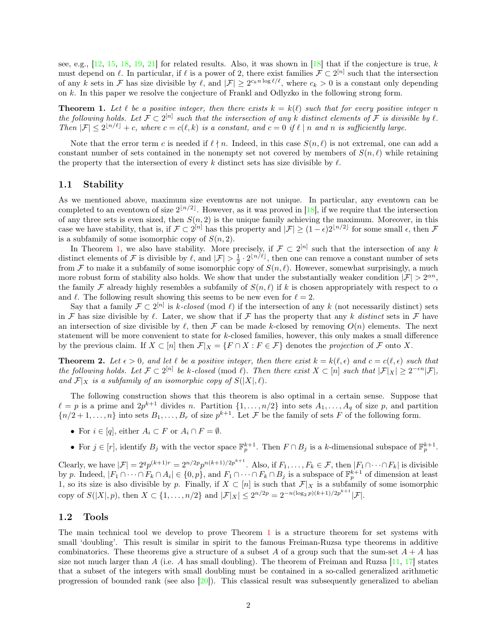see, e.g., [\[12,](#page-10-6) [15,](#page-10-7) [18,](#page-10-8) [19,](#page-10-9) [21\]](#page-10-10) for related results. Also, it was shown in [\[18\]](#page-10-8) that if the conjecture is true, k must depend on  $\ell$ . In particular, if  $\ell$  is a power of 2, there exist families  $\mathcal{F} \subset 2^{[n]}$  such that the intersection of any k sets in F has size divisible by  $\ell$ , and  $|\mathcal{F}| \geq 2^{c_k n \log \ell/\ell}$ , where  $c_k > 0$  is a constant only depending on k. In this paper we resolve the conjecture of Frankl and Odlyzko in the following strong form.

<span id="page-1-0"></span>**Theorem 1.** Let  $\ell$  be a positive integer, then there exists  $k = k(\ell)$  such that for every positive integer n the following holds. Let  $\mathcal{F} \subset 2^{[n]}$  such that the intersection of any k distinct elements of  $\mathcal F$  is divisible by  $\ell$ . Then  $|\mathcal{F}| \leq 2^{\lfloor n/\ell \rfloor} + c$ , where  $c = c(\ell, k)$  is a constant, and  $c = 0$  if  $\ell \mid n$  and n is sufficiently large.

Note that the error term c is needed if  $\ell \nmid n$ . Indeed, in this case  $S(n, \ell)$  is not extremal, one can add a constant number of sets contained in the nonempty set not covered by members of  $S(n, \ell)$  while retaining the property that the intersection of every k distinct sets has size divisible by  $\ell$ .

#### 1.1 Stability

As we mentioned above, maximum size eventowns are not unique. In particular, any eventown can be completed to an eventown of size  $2^{\lfloor n/2 \rfloor}$ . However, as it was proved in [\[18\]](#page-10-8), if we require that the intersection of any three sets is even sized, then  $S(n, 2)$  is the unique family achieving the maximum. Moreover, in this case we have stability, that is, if  $\mathcal{F} \subset 2^{[n]}$  has this property and  $|\mathcal{F}| \ge (1 - \epsilon)2^{\lfloor n/2 \rfloor}$  for some small  $\epsilon$ , then  $\mathcal{F}$ is a subfamily of some isomorphic copy of  $S(n, 2)$ .

In Theorem [1,](#page-1-0) we also have stability. More precisely, if  $\mathcal{F} \subset 2^{[n]}$  such that the intersection of any k distinct elements of F is divisible by  $\ell$ , and  $|\mathcal{F}| > \frac{1}{2} \cdot 2^{\lfloor n/\ell \rfloor}$ , then one can remove a constant number of sets from F to make it a subfamily of some isomorphic copy of  $S(n, \ell)$ . However, somewhat surprisingly, a much more robust form of stability also holds. We show that under the substantially weaker condition  $|\mathcal{F}| > 2^{\alpha n}$ , the family F already highly resembles a subfamily of  $S(n, \ell)$  if k is chosen appropriately with respect to  $\alpha$ and  $\ell$ . The following result showing this seems to be new even for  $\ell = 2$ .

Say that a family  $\mathcal{F} \subset 2^{[n]}$  is k-closed (mod  $\ell$ ) if the intersection of any k (not necessarily distinct) sets in F has size divisible by  $\ell$ . Later, we show that if F has the property that any k distinct sets in F have an intersection of size divisible by  $\ell$ , then  $\mathcal F$  can be made k-closed by removing  $O(n)$  elements. The next statement will be more convenient to state for k-closed families, however, this only makes a small difference by the previous claim. If  $X \subset [n]$  then  $\mathcal{F}|_X = \{F \cap X : F \in \mathcal{F}\}\)$  denotes the projection of  $\mathcal F$  onto  $X$ .

<span id="page-1-1"></span>**Theorem 2.** Let  $\epsilon > 0$ , and let  $\ell$  be a positive integer, then there exist  $k = k(\ell, \epsilon)$  and  $c = c(\ell, \epsilon)$  such that the following holds. Let  $\mathcal{F} \subset 2^{[n]}$  be k-closed (mod  $\ell$ ). Then there exist  $X \subset [n]$  such that  $|\mathcal{F}|_X| \geq 2^{-\epsilon n} |\mathcal{F}|$ , and  $\mathcal{F}|_X$  is a subfamily of an isomorphic copy of  $S(|X|, \ell)$ .

The following construction shows that this theorem is also optimal in a certain sense. Suppose that  $\ell = p$  is a prime and  $2p^{k+1}$  divides n. Partition  $\{1, \ldots, n/2\}$  into sets  $A_1, \ldots, A_q$  of size p, and partition  ${n/2+1,...,n}$  into sets  $B_1,...,B_r$  of size  $p^{k+1}$ . Let F be the family of sets F of the following form.

- For  $i \in [q]$ , either  $A_i \subset F$  or  $A_i \cap F = \emptyset$ .
- For  $j \in [r]$ , identify  $B_j$  with the vector space  $\mathbb{F}_p^{k+1}$ . Then  $F \cap B_j$  is a k-dimensional subspace of  $\mathbb{F}_p^{k+1}$ .

Clearly, we have  $|\mathcal{F}| = 2^q p^{(k+1)r} = 2^{n/2p} p^{n(k+1)/2p^{k+1}}$ . Also, if  $F_1, \ldots, F_k \in \mathcal{F}$ , then  $|F_1 \cap \cdots \cap F_k|$  is divisible by p. Indeed,  $|F_1 \cap \cdots \cap F_k \cap A_i| \in \{0, p\}$ , and  $F_1 \cap \cdots \cap F_k \cap B_j$  is a subspace of  $\mathbb{F}_p^{k+1}$  of dimension at least 1, so its size is also divisible by p. Finally, if  $X \subset [n]$  is such that  $\mathcal{F}|_X$  is a subfamily of some isomorphic copy of  $S(|X|, p)$ , then  $X \subset \{1, ..., n/2\}$  and  $|\mathcal{F}|_X| \leq 2^{n/2p} = 2^{-n(\log_2 p)(k+1)/2p^{k+1}}|\mathcal{F}|$ .

#### 1.2 Tools

The main technical tool we develop to prove Theorem [1](#page-1-0) is a structure theorem for set systems with small 'doubling'. This result is similar in spirit to the famous Freiman-Ruzsa type theorems in additive combinatorics. These theorems give a structure of a subset A of a group such that the sum-set  $A + A$  has size not much larger than A (i.e. A has small doubling). The theorem of Freiman and Ruzsa  $[11, 17]$  $[11, 17]$  $[11, 17]$  states that a subset of the integers with small doubling must be contained in a so-called generalized arithmetic progression of bounded rank (see also  $[20]$ ). This classical result was subsequently generalized to abelian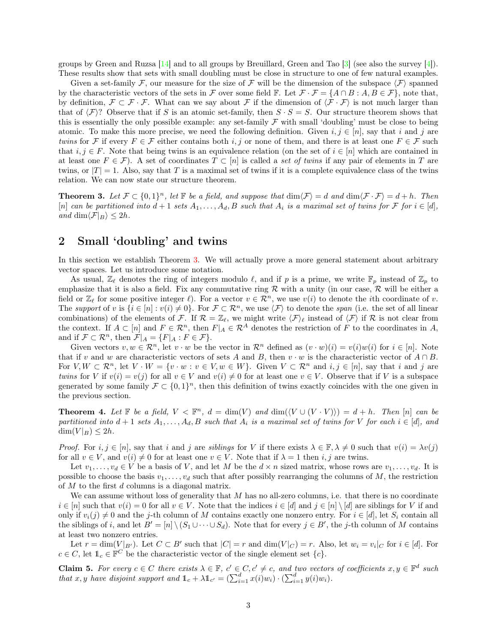groups by Green and Ruzsa [\[14\]](#page-10-14) and to all groups by Breuillard, Green and Tao [\[3\]](#page-10-15) (see also the survey [\[4\]](#page-10-16)). These results show that sets with small doubling must be close in structure to one of few natural examples.

Given a set-family F, our measure for the size of F will be the dimension of the subspace  $\langle F \rangle$  spanned by the characteristic vectors of the sets in F over some field F. Let  $\mathcal{F} \cdot \mathcal{F} = \{A \cap B : A, B \in \mathcal{F}\}\,$  note that, by definition,  $\mathcal{F} \subset \mathcal{F} \cdot \mathcal{F}$ . What can we say about  $\mathcal{F}$  if the dimension of  $\langle \mathcal{F} \cdot \mathcal{F} \rangle$  is not much larger than that of  $\langle \mathcal{F} \rangle$ ? Observe that if S is an atomic set-family, then  $S \cdot S = S$ . Our structure theorem shows that this is essentially the only possible example: any set-family  $\mathcal F$  with small 'doubling' must be close to being atomic. To make this more precise, we need the following definition. Given  $i, j \in [n]$ , say that i and j are twins for F if every  $F \in \mathcal{F}$  either contains both i, j or none of them, and there is at least one  $F \in \mathcal{F}$  such that  $i, j \in F$ . Note that being twins is an equivalence relation (on the set of  $i \in [n]$  which are contained in at least one  $F \in \mathcal{F}$ ). A set of coordinates  $T \subset [n]$  is called a set of twins if any pair of elements in T are twins, or  $|T|=1$ . Also, say that T is a maximal set of twins if it is a complete equivalence class of the twins relation. We can now state our structure theorem.

<span id="page-2-0"></span>**Theorem 3.** Let  $\mathcal{F} \subset \{0,1\}^n$ , let  $\mathbb{F}$  be a field, and suppose that  $\dim(\mathcal{F}) = d$  and  $\dim(\mathcal{F} \cdot \mathcal{F}) = d + h$ . Then [n] can be partitioned into  $d+1$  sets  $A_1, \ldots, A_d, B$  such that  $A_i$  is a maximal set of twins for  $\mathcal F$  for  $i \in [d]$ , and  $\dim \langle \mathcal{F}|_B \rangle \leq 2h$ .

### 2 Small 'doubling' and twins

In this section we establish Theorem [3.](#page-2-0) We will actually prove a more general statement about arbitrary vector spaces. Let us introduce some notation.

As usual,  $\mathbb{Z}_\ell$  denotes the ring of integers modulo  $\ell$ , and if p is a prime, we write  $\mathbb{F}_p$  instead of  $\mathbb{Z}_p$  to emphasize that it is also a field. Fix any commutative ring  $R$  with a unity (in our case,  $R$  will be either a field or  $\mathbb{Z}_\ell$  for some positive integer  $\ell$ ). For a vector  $v \in \mathcal{R}^n$ , we use  $v(i)$  to denote the *i*th coordinate of v. The support of v is  $\{i \in [n] : v(i) \neq 0\}$ . For  $\mathcal{F} \subset \mathcal{R}^n$ , we use  $\langle \mathcal{F} \rangle$  to denote the span (i.e. the set of all linear combinations) of the elements of F. If  $\mathcal{R} = \mathbb{Z}_{\ell}$ , we might write  $\langle \mathcal{F} \rangle_{\ell}$  instead of  $\langle \mathcal{F} \rangle$  if R is not clear from the context. If  $A \subset [n]$  and  $F \in \mathbb{R}^n$ , then  $F|_A \in \mathbb{R}^A$  denotes the restriction of F to the coordinates in A, and if  $\mathcal{F} \subset \mathcal{R}^n$ , then  $\mathcal{F}|_A = \{F|_A : F \in \mathcal{F}\}.$ 

Given vectors  $v, w \in \mathcal{R}^n$ , let  $v \cdot w$  be the vector in  $\mathcal{R}^n$  defined as  $(v \cdot w)(i) = v(i)w(i)$  for  $i \in [n]$ . Note that if v and w are characteristic vectors of sets A and B, then  $v \cdot w$  is the characteristic vector of  $A \cap B$ . For  $V, W \subset \mathbb{R}^n$ , let  $V \cdot W = \{v \cdot w : v \in V, w \in W\}$ . Given  $V \subset \mathbb{R}^n$  and  $i, j \in [n]$ , say that i and j are twins for V if  $v(i) = v(j)$  for all  $v \in V$  and  $v(i) \neq 0$  for at least one  $v \in V$ . Observe that if V is a subspace generated by some family  $\mathcal{F} \subset \{0,1\}^n$ , then this definition of twins exactly coincides with the one given in the previous section.

**Theorem 4.** Let  $\mathbb F$  be a field,  $V \leq \mathbb F^n$ ,  $d = \dim(V)$  and  $\dim(\langle V \cup (V \cdot V) \rangle) = d + h$ . Then  $[n]$  can be partitioned into  $d+1$  sets  $A_1, \ldots, A_d, B$  such that  $A_i$  is a maximal set of twins for V for each  $i \in [d]$ , and  $\dim(V|_B) \leq 2h$ .

*Proof.* For  $i, j \in [n]$ , say that i and j are siblings for V if there exists  $\lambda \in \mathbb{F}, \lambda \neq 0$  such that  $v(i) = \lambda v(j)$ for all  $v \in V$ , and  $v(i) \neq 0$  for at least one  $v \in V$ . Note that if  $\lambda = 1$  then i, j are twins.

Let  $v_1, \ldots, v_d \in V$  be a basis of V, and let M be the  $d \times n$  sized matrix, whose rows are  $v_1, \ldots, v_d$ . It is possible to choose the basis  $v_1, \ldots, v_d$  such that after possibly rearranging the columns of M, the restriction of  $M$  to the first  $d$  columns is a diagonal matrix.

We can assume without loss of generality that  $M$  has no all-zero columns, i.e. that there is no coordinate  $i \in [n]$  such that  $v(i) = 0$  for all  $v \in V$ . Note that the indices  $i \in [d]$  and  $j \in [n] \setminus [d]$  are siblings for V if and only if  $v_i(j) \neq 0$  and the j-th column of M contains exactly one nonzero entry. For  $i \in [d]$ , let  $S_i$  contain all the siblings of i, and let  $B' = [n] \setminus (S_1 \cup \cdots \cup S_d)$ . Note that for every  $j \in B'$ , the j-th column of M contains at least two nonzero entries.

Let  $r = \dim(V|_{B'})$ . Let  $C \subset B'$  such that  $|C| = r$  and  $\dim(V|_{C}) = r$ . Also, let  $w_i = v_i|_C$  for  $i \in [d]$ . For  $c \in C$ , let  $\mathbb{1}_c \in \mathbb{F}^C$  be the characteristic vector of the single element set  $\{c\}$ .

**Claim 5.** For every  $c \in C$  there exists  $\lambda \in \mathbb{F}$ ,  $c' \in C$ ,  $c' \neq c$ , and two vectors of coefficients  $x, y \in \mathbb{F}^d$  such that x, y have disjoint support and  $1_c + \lambda 1_c = (\sum_{i=1}^d x(i)w_i) \cdot (\sum_{i=1}^d y(i)w_i)$ .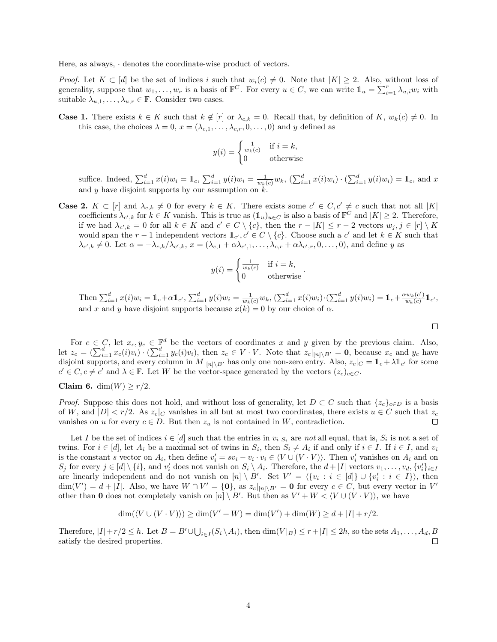Here, as always, · denotes the coordinate-wise product of vectors.

*Proof.* Let  $K \subset [d]$  be the set of indices i such that  $w_i(c) \neq 0$ . Note that  $|K| \geq 2$ . Also, without loss of generality, suppose that  $w_1, \ldots, w_r$  is a basis of  $\mathbb{F}^C$ . For every  $u \in C$ , we can write  $\mathbb{1}_u = \sum_{i=1}^r \lambda_{u,i} w_i$  with suitable  $\lambda_{u,1}, \ldots, \lambda_{u,r} \in \mathbb{F}$ . Consider two cases.

**Case 1.** There exists  $k \in K$  such that  $k \notin [r]$  or  $\lambda_{c,k} = 0$ . Recall that, by definition of  $K, w_k(c) \neq 0$ . In this case, the choices  $\lambda = 0$ ,  $x = (\lambda_{c,1}, \ldots, \lambda_{c,r}, 0, \ldots, 0)$  and y defined as

$$
y(i) = \begin{cases} \frac{1}{w_k(c)} & \text{if } i = k, \\ 0 & \text{otherwise} \end{cases}
$$

suffice. Indeed,  $\sum_{i=1}^{d} x(i)w_i = \mathbb{1}_c$ ,  $\sum_{i=1}^{d} y(i)w_i = \frac{1}{w_k(c)}w_k$ ,  $(\sum_{i=1}^{d} x(i)w_i) \cdot (\sum_{i=1}^{d} y(i)w_i) = \mathbb{1}_c$ , and x and y have disjoint supports by our assumption on  $k$ .

**Case 2.**  $K \subset [r]$  and  $\lambda_{c,k} \neq 0$  for every  $k \in K$ . There exists some  $c' \in C, c' \neq c$  such that not all  $|K|$ coefficients  $\lambda_{c',k}$  for  $k \in K$  vanish. This is true as  $(\mathbb{1}_u)_{u \in C}$  is also a basis of  $\mathbb{F}^C$  and  $|K| \geq 2$ . Therefore, if we had  $\lambda_{c',k} = 0$  for all  $k \in K$  and  $c' \in C \setminus \{c\}$ , then the  $r - |K| \leq r - 2$  vectors  $w_j, j \in [r] \setminus K$ would span the r – 1 independent vectors  $\mathbb{1}_{c'}$ ,  $c' \in C \setminus \{c\}$ . Choose such a c' and let  $k \in K$  such that  $\lambda_{c',k} \neq 0$ . Let  $\alpha = -\lambda_{c,k}/\lambda_{c',k}$ ,  $x = (\lambda_{c,1} + \alpha\lambda_{c',1}, \ldots, \lambda_{c,r} + \alpha\lambda_{c',r}, 0, \ldots, 0)$ , and define y as

$$
y(i) = \begin{cases} \frac{1}{w_k(c)} & \text{if } i = k, \\ 0 & \text{otherwise} \end{cases}
$$

.

Then  $\sum_{i=1}^d x(i)w_i = \mathbb{1}_c + \alpha \mathbb{1}_{c'}, \sum_{i=1}^d y(i)w_i = \frac{1}{w_k(c)}w_k, (\sum_{i=1}^d x(i)w_i) \cdot (\sum_{i=1}^d y(i)w_i) = \mathbb{1}_c + \frac{\alpha w_k(c')}{w_k(c)}$  $\frac{w_k(c')}{w_k(c)}1\!\!1_{c'},$ and x and y have disjoint supports because  $x(k) = 0$  by our choice of  $\alpha$ .

 $\Box$ 

For  $c \in C$ , let  $x_c, y_c \in \mathbb{F}^d$  be the vectors of coordinates x and y given by the previous claim. Also, let  $z_c = \left(\sum_{i=1}^d x_c(i)v_i\right) \cdot \left(\sum_{i=1}^d y_c(i)v_i\right)$ , then  $z_c \in V \cdot V$ . Note that  $z_c|_{[n] \setminus B'} = 0$ , because  $x_c$  and  $y_c$  have disjoint supports, and every column in  $M|_{[n]\setminus B'}$  has only one non-zero entry. Also,  $z_c|_C = \mathbb{1}_c + \lambda \mathbb{1}_{c'}$  for some  $c' \in C, c \neq c'$  and  $\lambda \in \mathbb{F}$ . Let W be the vector-space generated by the vectors  $(z_c)_{c \in C}$ .

$$
Claim 6. dim(W) \ge r/2.
$$

*Proof.* Suppose this does not hold, and without loss of generality, let  $D \subset C$  such that  $\{z_c\}_{c \in D}$  is a basis of W, and  $|D| < r/2$ . As  $z_c|_C$  vanishes in all but at most two coordinates, there exists  $u \in C$  such that  $z_c$ vanishes on u for every  $c \in D$ . But then  $z_u$  is not contained in W, contradiction.  $\Box$ 

Let I be the set of indices  $i \in [d]$  such that the entries in  $v_i|_{S_i}$  are not all equal, that is,  $S_i$  is not a set of twins. For  $i \in [d]$ , let  $A_i$  be a maximal set of twins in  $S_i$ , then  $S_i \neq A_i$  if and only if  $i \in I$ . If  $i \in I$ , and  $v_i$ is the constant s vector on  $A_i$ , then define  $v'_i = sv_i - v_i \cdot v_i \in \langle V \cup (V \cdot V) \rangle$ . Then  $v'_i$  vanishes on  $A_i$  and on  $S_j$  for every  $j \in [d] \setminus \{i\}$ , and  $v'_i$  does not vanish on  $S_i \setminus A_i$ . Therefore, the  $d + |I|$  vectors  $v_1, \ldots, v_d, \{v'_i\}_{i \in I}$ are linearly independent and do not vanish on  $[n] \setminus B'$ . Set  $V' = \langle \{v_i : i \in [d]\} \cup \{v'_i : i \in I\} \rangle$ , then  $\dim(V') = d + |I|$ . Also, we have  $W \cap V' = \{0\}$ , as  $z_c|_{[n] \setminus B'} = 0$  for every  $c \in C$ , but every vector in V' other than 0 does not completely vanish on  $[n] \setminus B'$ . But then as  $V' + W < \langle V \cup (V \cdot V) \rangle$ , we have

$$
\dim(\langle V \cup (V \cdot V) \rangle) \ge \dim(V' + W) = \dim(V') + \dim(W) \ge d + |I| + r/2.
$$

Therefore,  $|I| + r/2 \leq h$ . Let  $B = B' \cup \bigcup_{i \in I} (S_i \setminus A_i)$ , then  $\dim(V|_B) \leq r + |I| \leq 2h$ , so the sets  $A_1, \ldots, A_d, B$ satisfy the desired properties.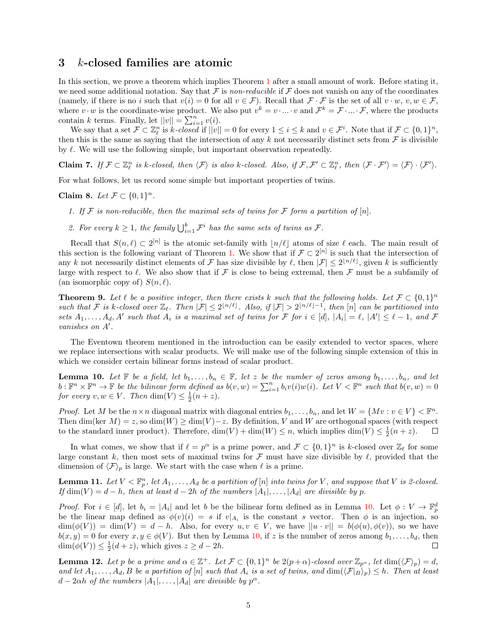#### 3 k-closed families are atomic

In this section, we prove a theorem which implies Theorem [1](#page-1-0) after a small amount of work. Before stating it, we need some additional notation. Say that  $\mathcal F$  is non-reducible if  $\mathcal F$  does not vanish on any of the coordinates (namely, if there is no i such that  $v(i) = 0$  for all  $v \in \mathcal{F}$ ). Recall that  $\mathcal{F} \cdot \mathcal{F}$  is the set of all  $v \cdot w$ ,  $v, w \in \mathcal{F}$ , where  $v \cdot w$  is the coordinate-wise product. We also put  $v^k = v \cdot ... \cdot v$  and  $\mathcal{F}^k = \mathcal{F} \cdot ... \cdot \mathcal{F}$ , where the products contain k terms. Finally, let  $||v|| = \sum_{i=1}^{n} v(i)$ .

We say that a set  $\mathcal{F} \subset \mathbb{Z}_{\ell}^n$  is k-closed if  $||v|| = 0$  for every  $1 \leq i \leq k$  and  $v \in \mathcal{F}^i$ . Note that if  $\mathcal{F} \subset \{0,1\}^n$ , then this is the same as saying that the intersection of any k not necessarily distinct sets from  $\mathcal F$  is divisible by  $\ell$ . We will use the following simple, but important observation repeatedly.

Claim 7. If  $\mathcal{F} \subset \mathbb{Z}_{\ell}^n$  is k-closed, then  $\langle \mathcal{F} \rangle$  is also k-closed. Also, if  $\mathcal{F}, \mathcal{F}' \subset \mathbb{Z}_{\ell}^n$ , then  $\langle \mathcal{F} \cdot \mathcal{F}' \rangle = \langle \mathcal{F} \rangle \cdot \langle \mathcal{F}' \rangle$ .

For what follows, let us record some simple but important properties of twins.

Claim 8. Let  $\mathcal{F} \subset \{0,1\}^n$ .

- 1. If F is non-reducible, then the maximal sets of twins for F form a partition of  $[n]$ .
- 2. For every  $k \geq 1$ , the family  $\bigcup_{i=1}^k \mathcal{F}^i$  has the same sets of twins as  $\mathcal{F}$ .

Recall that  $S(n,\ell) \subset 2^{[n]}$  is the atomic set-family with  $\lfloor n/\ell \rfloor$  atoms of size  $\ell$  each. The main result of this section is the following variant of Theorem [1.](#page-1-0) We show that if  $\mathcal{F} \subset 2^{[n]}$  is such that the intersection of any k not necessarily distinct elements of F has size divisible by  $\ell$ , then  $|\mathcal{F}| \leq 2^{\lfloor n/\ell \rfloor}$ , given k is sufficiently large with respect to  $\ell$ . We also show that if F is close to being extremal, then F must be a subfamily of (an isomorphic copy of)  $S(n, \ell)$ .

<span id="page-4-3"></span>**Theorem 9.** Let  $\ell$  be a positive integer, then there exists k such that the following holds. Let  $\mathcal{F} \subset \{0,1\}^n$ such that F is k-closed over  $\mathbb{Z}_{\ell}$ . Then  $|\mathcal{F}| \leq 2^{\lfloor n/\ell \rfloor}$ . Also, if  $|\mathcal{F}| > 2^{\lfloor n/\ell \rfloor - 1}$ , then  $[n]$  can be partitioned into sets  $A_1, \ldots, A_d, A'$  such that  $A_i$  is a maximal set of twins for F for  $i \in [d]$ ,  $|A_i| = \ell$ ,  $|A'| \leq \ell - 1$ , and F vanishes on  $A'$ .

The Eventown theorem mentioned in the introduction can be easily extended to vector spaces, where we replace intersections with scalar products. We will make use of the following simple extension of this in which we consider certain bilinear forms instead of scalar product.

<span id="page-4-0"></span>**Lemma 10.** Let  $\mathbb{F}$  be a field, let  $b_1, \ldots, b_n \in \mathbb{F}$ , let z be the number of zeros among  $b_1, \ldots, b_n$ , and let  $b: \mathbb{F}^n \times \mathbb{F}^n \to \mathbb{F}$  be the bilinear form defined as  $b(v, w) = \sum_{i=1}^n b_i v(i) w(i)$ . Let  $V \lt \mathbb{F}^n$  such that  $b(v, w) = 0$ for every  $v, w \in V$ . Then  $\dim(V) \leq \frac{1}{2}(n+z)$ .

*Proof.* Let M be the  $n \times n$  diagonal matrix with diagonal entries  $b_1, \ldots, b_n$ , and let  $W = \{Mv : v \in V\} < \mathbb{F}^n$ . Then dim(ker  $M = z$ , so dim(W)  $\geq$  dim(V)  $-z$ . By definition, V and W are orthogonal spaces (with respect to the standard inner product). Therefore,  $\dim(V) + \dim(W) \le n$ , which implies  $\dim(V) \le \frac{1}{2}(n+z)$ .  $\Box$ 

In what comes, we show that if  $\ell = p^{\alpha}$  is a prime power, and  $\mathcal{F} \subset \{0, 1\}^n$  is k-closed over  $\mathbb{Z}_{\ell}$  for some large constant k, then most sets of maximal twins for  $\mathcal F$  must have size divisible by  $\ell$ , provided that the dimension of  $\langle \mathcal{F} \rangle_p$  is large. We start with the case when  $\ell$  is a prime.

<span id="page-4-1"></span>**Lemma 11.** Let  $V \subset \mathbb{F}_p^n$ , let  $A_1, \ldots, A_d$  be a partition of  $[n]$  into twins for V, and suppose that V is 2-closed. If  $\dim(V) = d - h$ , then at least  $d - 2h$  of the numbers  $|A_1|, \ldots, |A_d|$  are divisible by p.

*Proof.* For  $i \in [d]$ , let  $b_i = |A_i|$  and let b be the bilinear form defined as in Lemma [10.](#page-4-0) Let  $\phi: V \to \mathbb{F}_p^d$ be the linear map defined as  $\phi(v)(i) = s$  if  $v|_{A_i}$  is the constant s vector. Then  $\phi$  is an injection, so  $\dim(\phi(V)) = \dim(V) = d - h$ . Also, for every  $u, v \in V$ , we have  $||u \cdot v|| = b(\phi(u), \phi(v))$ , so we have  $b(x, y) = 0$  for every  $x, y \in \phi(V)$ . But then by Lemma [10,](#page-4-0) if z is the number of zeros among  $b_1, \ldots, b_d$ , then  $\dim(\phi(V)) \leq \frac{1}{2}(d+z)$ , which gives  $z \geq d-2h$ .  $\Box$ 

<span id="page-4-2"></span>**Lemma 12.** Let p be a prime and  $\alpha \in \mathbb{Z}^+$ . Let  $\mathcal{F} \subset \{0,1\}^n$  be  $2(p+\alpha)$ -closed over  $\mathbb{Z}_{p^{\alpha}}$ , let  $\dim(\langle \mathcal{F} \rangle_p) = d$ , and let  $A_1, \ldots, A_d, B$  be a partition of  $[n]$  such that  $A_i$  is a set of twins, and  $\dim(\mathcal{F}|_B)_p \leq h$ . Then at least  $d-2\alpha h$  of the numbers  $|A_1|, \ldots, |A_d|$  are divisible by  $p^{\alpha}$ .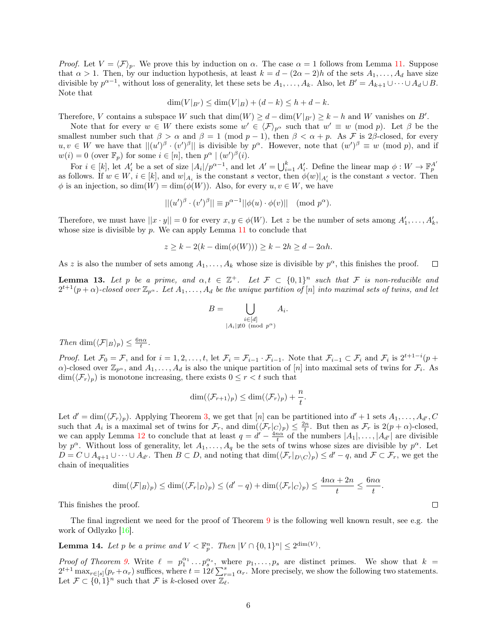*Proof.* Let  $V = \langle \mathcal{F} \rangle_p$ . We prove this by induction on  $\alpha$ . The case  $\alpha = 1$  follows from Lemma [11.](#page-4-1) Suppose that  $\alpha > 1$ . Then, by our induction hypothesis, at least  $k = d - (2\alpha - 2)h$  of the sets  $A_1, \ldots, A_d$  have size divisible by  $p^{\alpha-1}$ , without loss of generality, let these sets be  $A_1, \ldots, A_k$ . Also, let  $B' = A_{k+1} \cup \cdots \cup A_d \cup B$ . Note that

$$
\dim(V|_{B'}) \le \dim(V|_B) + (d - k) \le h + d - k.
$$

Therefore, V contains a subspace W such that  $\dim(W) \ge d - \dim(V|_{B'}) \ge k - h$  and W vanishes on B'.

Note that for every  $w \in W$  there exists some  $w' \in \langle \mathcal{F} \rangle_{p^{\alpha}}$  such that  $w' \equiv w \pmod{p}$ . Let  $\beta$  be the smallest number such that  $\beta > \alpha$  and  $\beta = 1 \pmod{p-1}$ , then  $\beta < \alpha + p$ . As F is 2 $\beta$ -closed, for every  $u, v \in W$  we have that  $||(u')^{\beta} \cdot (v')^{\beta}||$  is divisible by  $p^{\alpha}$ . However, note that  $(w')^{\beta} \equiv w \pmod{p}$ , and if  $w(i) = 0$  (over  $\mathbb{F}_p$ ) for some  $i \in [n]$ , then  $p^{\alpha} \mid (w')^{\beta}(i)$ .

For  $i \in [k]$ , let  $A'_i$  be a set of size  $|A_i|/p^{\alpha-1}$ , and let  $A' = \bigcup_{i=1}^k A'_i$ . Define the linear map  $\phi: W \to \mathbb{F}_p^{A'}$ as follows. If  $w \in W$ ,  $i \in [k]$ , and  $w|_{A_i}$  is the constant s vector, then  $\phi(w)|_{A_i'}$  is the constant s vector. Then  $\phi$  is an injection, so  $\dim(W) = \dim(\phi(W))$ . Also, for every  $u, v \in W$ , we have

$$
||(u')^{\beta} \cdot (v')^{\beta}|| \equiv p^{\alpha - 1}||\phi(u) \cdot \phi(v)|| \pmod{p^{\alpha}}.
$$

Therefore, we must have  $||x \cdot y|| = 0$  for every  $x, y \in \phi(W)$ . Let z be the number of sets among  $A'_1, \ldots, A'_k$ , whose size is divisible by  $p$ . We can apply Lemma [11](#page-4-1) to conclude that

$$
z \ge k - 2(k - \dim(\phi(W))) \ge k - 2h \ge d - 2\alpha h.
$$

As z is also the number of sets among  $A_1, \ldots, A_k$  whose size is divisible by  $p^{\alpha}$ , this finishes the proof.  $\Box$ 

<span id="page-5-1"></span>**Lemma 13.** Let p be a prime, and  $\alpha, t \in \mathbb{Z}^+$ . Let  $\mathcal{F} \subset \{0,1\}^n$  such that F is non-reducible and  $2^{t+1}(p+\alpha)$ -closed over  $\mathbb{Z}_{p^{\alpha}}$ . Let  $A_1,\ldots,A_d$  be the unique partition of [n] into maximal sets of twins, and let

$$
B = \bigcup_{\substack{i \in [d] \\ |A_i| \neq 0 \pmod{p^{\alpha}}} A_i.
$$

Then dim $(\langle \mathcal{F} |_{B} \rangle_p) \leq \frac{6n\alpha}{t}$ .

*Proof.* Let  $\mathcal{F}_0 = \mathcal{F}$ , and for  $i = 1, 2, \ldots, t$ , let  $\mathcal{F}_i = \mathcal{F}_{i-1} \cdot \mathcal{F}_{i-1}$ . Note that  $\mathcal{F}_{i-1} \subset \mathcal{F}_i$  and  $\mathcal{F}_i$  is  $2^{t+1-i}(p+i)$  $\alpha$ )-closed over  $\mathbb{Z}_{p^{\alpha}}$ , and  $A_1, \ldots, A_d$  is also the unique partition of  $[n]$  into maximal sets of twins for  $\mathcal{F}_i$ . As  $\dim(\langle \mathcal{F}_r \rangle_p)$  is monotone increasing, there exists  $0 \leq r < t$  such that

$$
\dim(\langle \mathcal{F}_{r+1} \rangle_p) \leq \dim(\langle \mathcal{F}_r \rangle_p) + \frac{n}{t}.
$$

Let  $d' = \dim(\langle \mathcal{F}_r \rangle_p)$ . Applying Theorem [3,](#page-2-0) we get that  $[n]$  can be partitioned into  $d' + 1$  sets  $A_1, \ldots, A_{d'}$ , C such that  $A_i$  is a maximal set of twins for  $\mathcal{F}_r$ , and  $\dim(\langle \mathcal{F}_r |_{C} \rangle_p) \leq \frac{2n}{t}$ . But then as  $\mathcal{F}_r$  is  $2(p+\alpha)$ -closed, we can apply Lemma [12](#page-4-2) to conclude that at least  $q = d' - \frac{4n\alpha}{t}$  of the numbers  $|A_1|, \ldots, |A_{d'}|$  are divisible by  $p^{\alpha}$ . Without loss of generality, let  $A_1, \ldots, A_q$  be the sets of twins whose sizes are divisible by  $p^{\alpha}$ . Let  $D = C \cup A_{q+1} \cup \cdots \cup A_{d'}$ . Then  $B \subset D$ , and noting that  $\dim(\langle \mathcal{F}_r |_{D \setminus C} \rangle_p) \leq d' - q$ , and  $\mathcal{F} \subset \mathcal{F}_r$ , we get the chain of inequalities

$$
\dim(\langle \mathcal{F}|_B \rangle_p) \le \dim(\langle \mathcal{F}_r|_D \rangle_p) \le (d'-q) + \dim(\langle \mathcal{F}_r|_C \rangle_p) \le \frac{4n\alpha + 2n}{t} \le \frac{6n\alpha}{t}.
$$

This finishes the proof.

The final ingredient we need for the proof of Theorem [9](#page-4-3) is the following well known result, see e.g. the work of Odlyzko [\[16\]](#page-10-17).

<span id="page-5-0"></span>**Lemma 14.** Let p be a prime and  $V < \mathbb{F}_p^n$ . Then  $|V \cap \{0,1\}^n| \leq 2^{\dim(V)}$ .

*Proof of Theorem [9.](#page-4-3)* Write  $\ell = p_1^{\alpha_1} \dots p_s^{\alpha_s}$ , where  $p_1, \dots, p_s$  are distinct primes. We show that  $k =$  $2^{t+1}$  max<sub>r∈[s]</sub>( $p_r + \alpha_r$ ) suffices, where  $t = 12\ell \sum_{r=1}^s \alpha_r$ . More precisely, we show the following two statements. Let  $\mathcal{F} \subset \{0,1\}^n$  such that  $\mathcal F$  is k-closed over  $\mathbb{Z}_\ell$ .

 $\Box$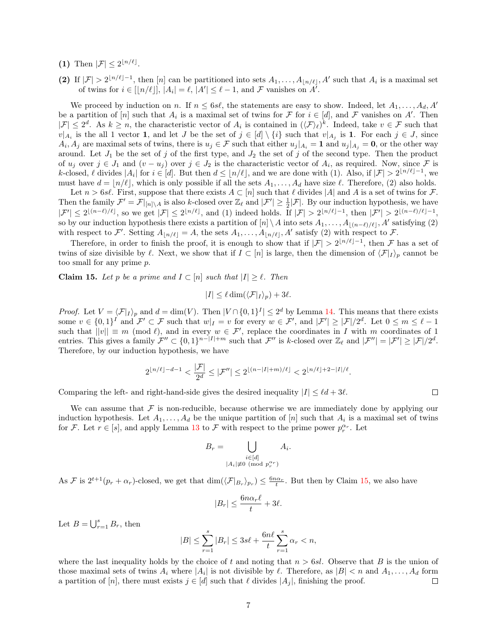- (1) Then  $|\mathcal{F}| \leq 2^{\lfloor n/\ell \rfloor}$ .
- (2) If  $|\mathcal{F}| > 2^{\lfloor n/\ell \rfloor 1}$ , then  $[n]$  can be partitioned into sets  $A_1, \ldots, A_{\lfloor n/\ell \rfloor}, A'$  such that  $A_i$  is a maximal set of twins for  $i \in [\lfloor n/\ell \rfloor], |A_i| = \ell, |A'| \leq \ell - 1$ , and  $\mathcal F$  vanishes on  $A^{\prime}$ .

We proceed by induction on n. If  $n \leq 6s\ell$ , the statements are easy to show. Indeed, let  $A_1, \ldots, A_d, A'$ be a partition of  $[n]$  such that  $A_i$  is a maximal set of twins for F for  $i \in [d]$ , and F vanishes on A'. Then  $|\mathcal{F}| \leq 2^d$ . As  $k \geq n$ , the characteristic vector of  $A_i$  is contained in  $(\langle \mathcal{F} \rangle_{\ell})^k$ . Indeed, take  $v \in \mathcal{F}$  such that  $v|_{A_i}$  is the all 1 vector 1, and let J be the set of  $j \in [d] \setminus \{i\}$  such that  $v|_{A_j}$  is 1. For each  $j \in J$ , since  $A_i, A_j$  are maximal sets of twins, there is  $u_j \in \mathcal{F}$  such that either  $u_j|_{A_i} = 1$  and  $u_j|_{A_j} = 0$ , or the other way around. Let  $J_1$  be the set of j of the first type, and  $J_2$  the set of j of the second type. Then the product of  $u_j$  over  $j \in J_1$  and  $(v - u_j)$  over  $j \in J_2$  is the characteristic vector of  $A_i$ , as required. Now, since F is k-closed,  $\ell$  divides  $|A_i|$  for  $i \in [d]$ . But then  $d \leq \lfloor n/\ell \rfloor$ , and we are done with (1). Also, if  $|\mathcal{F}| > 2^{\lfloor n/\ell \rfloor - 1}$ , we must have  $d = \lfloor n/\ell \rfloor$ , which is only possible if all the sets  $A_1, \ldots, A_d$  have size  $\ell$ . Therefore, (2) also holds.

Let  $n > 6s\ell$ . First, suppose that there exists  $A \subset [n]$  such that  $\ell$  divides  $|A|$  and A is a set of twins for F. Then the family  $\mathcal{F}' = \mathcal{F}|_{[n]\setminus A}$  is also k-closed over  $\mathbb{Z}_{\ell}$  and  $|\mathcal{F}'| \geq \frac{1}{2}|\mathcal{F}|$ . By our induction hypothesis, we have  $|\mathcal{F}'| \leq 2^{\lfloor (n-\ell)/\ell \rfloor}$ , so we get  $|\mathcal{F}| \leq 2^{\lfloor n/\ell \rfloor}$ , and (1) indeed holds. If  $|\mathcal{F}| > 2^{\lfloor n/\ell \rfloor - 1}$ , then  $|\mathcal{F}'| > 2^{\lfloor (n-\ell)/\ell \rfloor - 1}$ , so by our induction hypothesis there exists a partition of  $[n] \setminus A$  into sets  $A_1, \ldots, A_{\lfloor (n-\ell)/\ell \rfloor}, A'$  satisfying (2) with respect to F'. Setting  $A_{\lfloor n/\ell \rfloor} = A$ , the sets  $A_1, \ldots, A_{\lfloor n/\ell \rfloor}, A'$  satisfy (2) with respect to F.

Therefore, in order to finish the proof, it is enough to show that if  $|\mathcal{F}| > 2^{\lfloor n/\ell \rfloor - 1}$ , then F has a set of twins of size divisible by  $\ell$ . Next, we show that if  $I \subset [n]$  is large, then the dimension of  $\langle \mathcal{F}|_I \rangle_p$  cannot be too small for any prime p.

<span id="page-6-0"></span>**Claim 15.** Let p be a prime and  $I \subset [n]$  such that  $|I| \geq \ell$ . Then

$$
|I| \leq \ell \dim(\langle \mathcal{F}|_I \rangle_p) + 3\ell.
$$

*Proof.* Let  $V = \langle \mathcal{F}|_I \rangle_p$  and  $d = \dim(V)$ . Then  $|V \cap \{0,1\}^I| \leq 2^d$  by Lemma [14.](#page-5-0) This means that there exists some  $v \in \{0,1\}^I$  and  $\mathcal{F}' \subset \mathcal{F}$  such that  $w|_I = v$  for every  $w \in \mathcal{F}'$ , and  $|\mathcal{F}'| \geq |\mathcal{F}|/2^d$ . Let  $0 \leq m \leq \ell - 1$ such that  $||v|| \equiv m \pmod{\ell}$ , and in every  $w \in \mathcal{F}'$ , replace the coordinates in I with m coordinates of 1 entries. This gives a family  $\mathcal{F}'' \subset \{0,1\}^{n-|I|+m}$  such that  $\mathcal{F}''$  is k-closed over  $\mathbb{Z}_{\ell}$  and  $|\mathcal{F}''| = |\mathcal{F}'| \geq |\mathcal{F}|/2^d$ . Therefore, by our induction hypothesis, we have

$$
2^{\lfloor n/\ell \rfloor - d - 1} < \frac{|\mathcal{F}|}{2^d} \leq |\mathcal{F}''| \leq 2^{\lfloor (n - |I| + m)/\ell \rfloor} < 2^{\lfloor n/\ell \rfloor + 2 - |I|/\ell}.
$$

Comparing the left- and right-hand-side gives the desired inequality  $|I| \leq \ell d + 3\ell$ .

We can assume that  $\mathcal F$  is non-reducible, because otherwise we are immediately done by applying our induction hypothesis. Let  $A_1, \ldots, A_d$  be the unique partition of [n] such that  $A_i$  is a maximal set of twins for F. Let  $r \in [s]$ , and apply Lemma [13](#page-5-1) to F with respect to the prime power  $p_r^{\alpha_r}$ . Let

$$
B_r = \bigcup_{\substack{i \in [d] \\ |A_i| \neq 0 \pmod{p_r^{\alpha_r}}}} A_i.
$$

As F is  $2^{t+1}(p_r + \alpha_r)$ -closed, we get that  $\dim(\langle \mathcal{F}|_{B_r} \rangle_{p_r}) \leq \frac{6n\alpha_r}{t}$ . But then by Claim [15,](#page-6-0) we also have

$$
|B_r| \le \frac{6n\alpha_r\ell}{t} + 3\ell.
$$

Let  $B = \bigcup_{r=1}^{s} B_r$ , then

$$
|B|\leq \sum_{r=1}^s |B_r|\leq 3s\ell+\frac{6n\ell}{t}\sum_{r=1}^s \alpha_r
$$

where the last inequality holds by the choice of t and noting that  $n > 6sl$ . Observe that B is the union of those maximal sets of twins  $A_i$  where  $|A_i|$  is not divisible by  $\ell$ . Therefore, as  $|B| < n$  and  $A_1, \ldots, A_d$  form a partition of [n], there must exists  $j \in [d]$  such that  $\ell$  divides  $|A_j|$ , finishing the proof.  $\Box$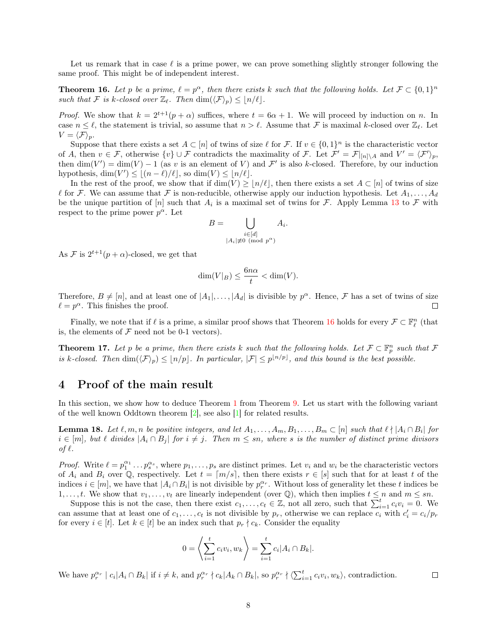Let us remark that in case  $\ell$  is a prime power, we can prove something slightly stronger following the same proof. This might be of independent interest.

<span id="page-7-0"></span>**Theorem 16.** Let p be a prime,  $\ell = p^{\alpha}$ , then there exists k such that the following holds. Let  $\mathcal{F} \subset \{0,1\}^n$ such that F is k-closed over  $\mathbb{Z}_{\ell}$ . Then  $\dim(\langle \mathcal{F} \rangle_p) \leq |n/\ell|.$ 

*Proof.* We show that  $k = 2^{t+1}(p + \alpha)$  suffices, where  $t = 6\alpha + 1$ . We will proceed by induction on n. In case  $n \leq \ell$ , the statement is trivial, so assume that  $n > \ell$ . Assume that F is maximal k-closed over  $\mathbb{Z}_{\ell}$ . Let  $V = \langle \mathcal{F} \rangle_p.$ 

Suppose that there exists a set  $A \subset [n]$  of twins of size  $\ell$  for F. If  $v \in \{0,1\}^n$  is the characteristic vector of A, then  $v \in \mathcal{F}$ , otherwise  $\{v\} \cup \mathcal{F}$  contradicts the maximality of  $\mathcal{F}$ . Let  $\mathcal{F}' = \mathcal{F}|_{[n] \setminus A}$  and  $V' = \langle \mathcal{F}' \rangle_p$ , then  $\dim(V') = \dim(V) - 1$  (as v is an element of V) and F' is also k-closed. Therefore, by our induction hypothesis,  $\dim(V') \leq |(n-\ell)/\ell|$ , so  $\dim(V) \leq |n/\ell|$ .

In the rest of the proof, we show that if  $\dim(V) \geq |n/\ell|$ , then there exists a set  $A \subset [n]$  of twins of size  $\ell$  for F. We can assume that F is non-reducible, otherwise apply our induction hypothesis. Let  $A_1, \ldots, A_d$ be the unique partition of  $[n]$  such that  $A_i$  is a maximal set of twins for F. Apply Lemma [13](#page-5-1) to F with respect to the prime power  $p^{\alpha}$ . Let

$$
B = \bigcup_{\substack{i \in [d] \\ |A_i| \not\equiv 0 \pmod{p^{\alpha}}}} A_i.
$$

As F is  $2^{t+1}(p+\alpha)$ -closed, we get that

$$
\dim(V|_B) \le \frac{6n\alpha}{t} < \dim(V).
$$

Therefore,  $B \neq [n]$ , and at least one of  $|A_1|, \ldots, |A_d|$  is divisible by  $p^{\alpha}$ . Hence,  $\mathcal F$  has a set of twins of size  $\ell = p^{\alpha}$ . This finishes the proof.  $\Box$ 

Finally, we note that if  $\ell$  is a prime, a similar proof shows that Theorem [16](#page-7-0) holds for every  $\mathcal{F} \subset \mathbb{F}_{\ell}^n$  (that is, the elements of  $\mathcal F$  need not be 0-1 vectors).

**Theorem 17.** Let p be a prime, then there exists k such that the following holds. Let  $\mathcal{F} \subset \mathbb{F}_p^n$  such that  $\mathcal{F}$ is k-closed. Then  $\dim(\langle \mathcal{F} \rangle_p) \leq \lfloor n/p \rfloor$ . In particular,  $|\mathcal{F}| \leq p^{\lfloor n/p \rfloor}$ , and this bound is the best possible.

## 4 Proof of the main result

In this section, we show how to deduce Theorem [1](#page-1-0) from Theorem [9.](#page-4-3) Let us start with the following variant of the well known Oddtown theorem [\[2\]](#page-10-0), see also [\[1\]](#page-10-2) for related results.

<span id="page-7-1"></span>**Lemma 18.** Let  $\ell, m, n$  be positive integers, and let  $A_1, \ldots, A_m, B_1, \ldots, B_m \subset [n]$  such that  $\ell \nmid |A_i \cap B_i|$  for  $i \in [m]$ , but  $\ell$  divides  $|A_i \cap B_j|$  for  $i \neq j$ . Then  $m \leq sn$ , where s is the number of distinct prime divisors of  $\ell$ .

*Proof.* Write  $\ell = p_1^{\alpha_1} \dots p_s^{\alpha_s}$ , where  $p_1, \dots, p_s$  are distinct primes. Let  $v_i$  and  $w_i$  be the characteristic vectors of  $A_i$  and  $B_i$  over Q, respectively. Let  $t = \lfloor m/s \rfloor$ , then there exists  $r \in [s]$  such that for at least t of the indices  $i \in [m]$ , we have that  $|A_i \cap B_i|$  is not divisible by  $p_r^{\alpha_r}$ . Without loss of generality let these t indices be 1,..., t. We show that  $v_1, \ldots, v_t$  are linearly independent (over Q), which then implies  $t \leq n$  and  $m \leq sn$ .

Suppose this is not the case, then there exist  $c_1, \ldots, c_t \in \mathbb{Z}$ , not all zero, such that  $\sum_{i=1}^t c_i v_i = 0$ . We can assume that at least one of  $c_1, \ldots, c_t$  is not divisible by  $p_r$ , otherwise we can replace  $c_i$  with  $c'_i = c_i/p_r$ for every  $i \in [t]$ . Let  $k \in [t]$  be an index such that  $p_r \nmid c_k$ . Consider the equality

$$
0 = \left\langle \sum_{i=1}^{t} c_i v_i, w_k \right\rangle = \sum_{i=1}^{t} c_i |A_i \cap B_k|.
$$

We have  $p_r^{\alpha_r} \mid c_i | A_i \cap B_k |$  if  $i \neq k$ , and  $p_r^{\alpha_r} \nmid c_k | A_k \cap B_k |$ , so  $p_r^{\alpha_r} \nmid \langle \sum_{i=1}^t c_i v_i, w_k \rangle$ , contradiction.

 $\Box$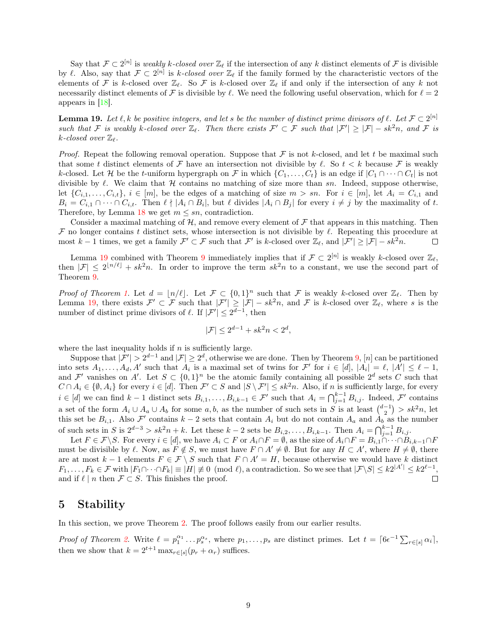Say that  $\mathcal{F} \subset 2^{[n]}$  is weakly k-closed over  $\mathbb{Z}_\ell$  if the intersection of any k distinct elements of  $\mathcal F$  is divisible by  $\ell$ . Also, say that  $\mathcal{F} \subset 2^{[n]}$  is k-closed over  $\mathbb{Z}_{\ell}$  if the family formed by the characteristic vectors of the elements of F is k-closed over  $\mathbb{Z}_\ell$ . So F is k-closed over  $\mathbb{Z}_\ell$  if and only if the intersection of any k not necessarily distinct elements of F is divisible by  $\ell$ . We need the following useful observation, which for  $\ell = 2$ appears in [\[18\]](#page-10-8).

<span id="page-8-0"></span>**Lemma 19.** Let  $\ell, k$  be positive integers, and let s be the number of distinct prime divisors of  $\ell$ . Let  $\mathcal{F} \subset 2^{[n]}$ such that F is weakly k-closed over  $\mathbb{Z}_{\ell}$ . Then there exists  $\mathcal{F}' \subset \mathcal{F}$  such that  $|\mathcal{F}'| \geq |\mathcal{F}| - sk^2n$ , and F is k-closed over  $\mathbb{Z}_{\ell}$ .

*Proof.* Repeat the following removal operation. Suppose that  $F$  is not k-closed, and let t be maximal such that some t distinct elements of F have an intersection not divisible by  $\ell$ . So  $t < k$  because F is weakly k-closed. Let H be the t-uniform hypergraph on F in which  $\{C_1, \ldots, C_t\}$  is an edge if  $|C_1 \cap \cdots \cap C_t|$  is not divisible by  $\ell$ . We claim that H contains no matching of size more than sn. Indeed, suppose otherwise, let  $\{C_{i,1},\ldots,C_{i,t}\}, i \in [m],$  be the edges of a matching of size  $m > sn$ . For  $i \in [m]$ , let  $A_i = C_{i,1}$  and  $B_i = C_{i,1} \cap \cdots \cap C_{i,t}$ . Then  $\ell \nmid |A_i \cap B_i|$ , but  $\ell$  divides  $|A_i \cap B_j|$  for every  $i \neq j$  by the maximality of t. Therefore, by Lemma [18](#page-7-1) we get  $m \leq sn$ , contradiction.

Consider a maximal matching of  $H$ , and remove every element of  $\mathcal F$  that appears in this matching. Then  $\mathcal F$  no longer contains t distinct sets, whose intersection is not divisible by  $\ell$ . Repeating this procedure at most  $k-1$  times, we get a family  $\mathcal{F}' \subset \mathcal{F}$  such that  $\mathcal{F}'$  is k-closed over  $\mathbb{Z}_{\ell}$ , and  $|\mathcal{F}'| \geq |\mathcal{F}| - sk^2n$ .  $\Box$ 

Lemma [19](#page-8-0) combined with Theorem [9](#page-4-3) immediately implies that if  $\mathcal{F} \subset 2^{[n]}$  is weakly k-closed over  $\mathbb{Z}_{\ell}$ , then  $|\mathcal{F}| \leq 2^{\lfloor n/\ell \rfloor} + sk^2n$ . In order to improve the term  $sk^2n$  to a constant, we use the second part of Theorem [9.](#page-4-3)

*Proof of Theorem [1.](#page-1-0)* Let  $d = \lfloor n/\ell \rfloor$ . Let  $\mathcal{F} \subset \{0,1\}^n$  such that  $\mathcal{F}$  is weakly k-closed over  $\mathbb{Z}_{\ell}$ . Then by Lemma [19,](#page-8-0) there exists  $\mathcal{F}' \subset \mathcal{F}$  such that  $|\mathcal{F}'| \geq |\mathcal{F}| - sk^2n$ , and  $\mathcal{F}$  is k-closed over  $\mathbb{Z}_{\ell}$ , where s is the number of distinct prime divisors of  $\ell$ . If  $|\mathcal{F}'| \leq 2^{d-1}$ , then

$$
|\mathcal{F}| \le 2^{d-1} + sk^2n < 2^d,
$$

where the last inequality holds if  $n$  is sufficiently large.

Suppose that  $|\mathcal{F}'| > 2^{d-1}$  and  $|\mathcal{F}| \geq 2^d$ , otherwise we are done. Then by Theorem [9,](#page-4-3) [n] can be partitioned into sets  $A_1, \ldots, A_d, A'$  such that  $A_i$  is a maximal set of twins for  $\mathcal{F}'$  for  $i \in [d]$ ,  $|A_i| = \ell, |A'| \leq \ell - 1$ , and  $\mathcal{F}'$  vanishes on A'. Let  $S \subset \{0,1\}^n$  be the atomic family containing all possible  $2^d$  sets C such that  $C \cap A_i \in \{\emptyset, A_i\}$  for every  $i \in [d]$ . Then  $\mathcal{F}' \subset S$  and  $|S \setminus \mathcal{F}'| \leq sk^2n$ . Also, if n is sufficiently large, for every  $i \in [d]$  we can find  $k-1$  distinct sets  $B_{i,1}, \ldots, B_{i,k-1} \in \mathcal{F}'$  such that  $A_i = \bigcap_{j=1}^{k-1} B_{i,j}$ . Indeed,  $\mathcal{F}'$  contains a set of the form  $A_i \cup A_a \cup A_b$  for some  $a, b$ , as the number of such sets in S is at least  $\binom{d-1}{2}$  >  $sk^2n$ , let this set be  $B_{i,1}$ . Also  $\mathcal{F}'$  contains  $k-2$  sets that contain  $A_i$  but do not contain  $A_a$  and  $A_b$  as the number of such sets in S is  $2^{d-3} > sk^2n + k$ . Let these  $k-2$  sets be  $B_{i,2}, \ldots, B_{i,k-1}$ . Then  $A_i = \bigcap_{j=1}^{k-1} B_{i,j}$ .

Let  $F \in \mathcal{F} \backslash S$ . For every  $i \in [d]$ , we have  $A_i \subset F$  or  $A_i \cap F = \emptyset$ , as the size of  $A_i \cap F = B_{i,1} \cap \cdots \cap B_{i,k-1} \cap F$ must be divisible by  $\ell$ . Now, as  $F \notin S$ , we must have  $F \cap A' \neq \emptyset$ . But for any  $H \subset A'$ , where  $H \neq \emptyset$ , there are at most  $k-1$  elements  $F \in \mathcal{F} \setminus S$  such that  $F \cap A' = H$ , because otherwise we would have k distinct  $F_1, \ldots, F_k \in \mathcal{F}$  with  $|F_1 \cap \cdots \cap F_k| \equiv |H| \not\equiv 0 \pmod{l}$ , a contradiction. So we see that  $|\mathcal{F} \backslash S| \leq k2^{|A'|} \leq k2^{\ell-1}$ , and if  $\ell \mid n$  then  $\mathcal{F} \subset S$ . This finishes the proof.  $\Box$ 

#### 5 Stability

In this section, we prove Theorem [2.](#page-1-1) The proof follows easily from our earlier results.

*Proof of Theorem [2.](#page-1-1)* Write  $\ell = p_1^{\alpha_1} \dots p_s^{\alpha_s}$ , where  $p_1, \dots, p_s$  are distinct primes. Let  $t = \lceil 6\epsilon^{-1} \sum_{r \in [s]} \alpha_i \rceil$ , then we show that  $k = 2^{t+1} \max_{r \in [s]} (p_r + \alpha_r)$  suffices.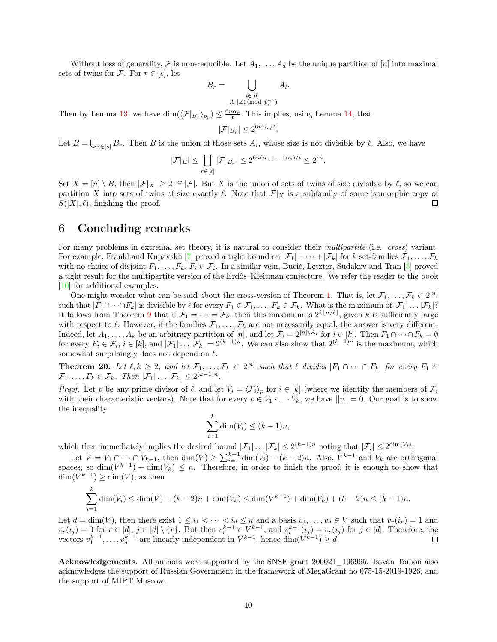Without loss of generality, F is non-reducible. Let  $A_1, \ldots, A_d$  be the unique partition of [n] into maximal sets of twins for F. For  $r \in [s]$ , let

$$
B_r = \bigcup_{\substack{i \in [d] \\ |A_i| \neq 0 \pmod{p_r^{\alpha_r}}}} A_i.
$$

Then by Lemma [13,](#page-5-1) we have  $\dim(\langle \mathcal{F}|_{B_r} \rangle_{p_r}) \leq \frac{6n\alpha_r}{t}$ . This implies, using Lemma [14,](#page-5-0) that

$$
|\mathcal{F}|_{B_r}| \le 2^{6n\alpha_r/t}.
$$

Let  $B = \bigcup_{r \in [s]} B_r$ . Then B is the union of those sets  $A_i$ , whose size is not divisible by  $\ell$ . Also, we have

$$
|\mathcal{F}|_B| \le \prod_{r \in [s]} |\mathcal{F}|_{B_r}| \le 2^{6n(\alpha_1 + \dots + \alpha_s)/t} \le 2^{\epsilon n}.
$$

Set  $X = [n] \setminus B$ , then  $|\mathcal{F}|_X | \geq 2^{-\epsilon n} |\mathcal{F}|$ . But X is the union of sets of twins of size divisible by  $\ell$ , so we can partition X into sets of twins of size exactly  $\ell$ . Note that  $\mathcal{F}|_X$  is a subfamily of some isomorphic copy of  $S(|X|, \ell)$ , finishing the proof.  $\Box$ 

#### 6 Concluding remarks

For many problems in extremal set theory, it is natural to consider their *multipartite* (i.e. *cross*) variant. For example, Frankl and Kupavskii [\[7\]](#page-10-18) proved a tight bound on  $|\mathcal{F}_1|+\cdots+|\mathcal{F}_k|$  for k set-families  $\mathcal{F}_1,\ldots,\mathcal{F}_k$ with no choice of disjoint  $F_1, \ldots, F_k, F_i \in \mathcal{F}_i$ . In a similar vein, Bucić, Letzter, Sudakov and Tran [\[5\]](#page-10-19) proved a tight result for the multipartite version of the Erdős–Kleitman conjecture. We refer the reader to the book [\[10\]](#page-10-20) for additional examples.

One might wonder what can be said about the cross-version of Theorem [1.](#page-1-0) That is, let  $\mathcal{F}_1, \ldots, \mathcal{F}_k \subset 2^{[n]}$ such that  $|F_1 \cap \cdots \cap F_k|$  is divisible by  $\ell$  for every  $F_1 \in \mathcal{F}_1, \ldots, F_k \in \mathcal{F}_k$ . What is the maximum of  $|\mathcal{F}_1| \ldots |\mathcal{F}_k|$ ? It follows from Theorem [9](#page-4-3) that if  $\mathcal{F}_1 = \cdots = \mathcal{F}_k$ , then this maximum is  $2^{k\lfloor n/\ell \rfloor}$ , given k is sufficiently large with respect to  $\ell$ . However, if the families  $\mathcal{F}_1, \ldots, \mathcal{F}_k$  are not necessarily equal, the answer is very different. Indeed, let  $A_1, \ldots, A_k$  be an arbitrary partition of  $[n]$ , and let  $\mathcal{F}_i = 2^{[n] \setminus A_i}$  for  $i \in [k]$ . Then  $F_1 \cap \cdots \cap F_k = \emptyset$ for every  $F_i \in \mathcal{F}_i$ ,  $i \in [k]$ , and  $|\mathcal{F}_1| \dots |\mathcal{F}_k| = 2^{(k-1)n}$ . We can also show that  $2^{(k-1)n}$  is the maximum, which somewhat surprisingly does not depend on  $\ell$ .

**Theorem 20.** Let  $\ell, k \geq 2$ , and let  $\mathcal{F}_1, \ldots, \mathcal{F}_k \subset 2^{[n]}$  such that  $\ell$  divides  $|F_1 \cap \cdots \cap F_k|$  for every  $F_1 \in$  $\mathcal{F}_1, \ldots, F_k \in \mathcal{F}_k$ . Then  $|\mathcal{F}_1| \ldots |\mathcal{F}_k| \leq 2^{(k-1)n}$ .

*Proof.* Let p be any prime divisor of  $\ell$ , and let  $V_i = \langle \mathcal{F}_i \rangle_p$  for  $i \in [k]$  (where we identify the members of  $\mathcal{F}_i$ with their characteristic vectors). Note that for every  $v \in V_1 \cdot ... \cdot V_k$ , we have  $||v|| = 0$ . Our goal is to show the inequality

$$
\sum_{i=1}^{k} \dim(V_i) \le (k-1)n,
$$

which then immediately implies the desired bound  $|\mathcal{F}_1| \dots |\mathcal{F}_k| \leq 2^{(k-1)n}$  noting that  $|\mathcal{F}_i| \leq 2^{\dim(V_i)}$ .

Let  $V = V_1 \cap \cdots \cap V_{k-1}$ , then  $\dim(V) \geq \sum_{i=1}^{k-1} \dim(V_i) - (k-2)n$ . Also,  $V^{k-1}$  and  $V_k$  are orthogonal spaces, so  $\dim(V^{k-1}) + \dim(V_k) \leq n$ . Therefore, in order to finish the proof, it is enough to show that  $\dim(V^{k-1}) \geq \dim(V)$ , as then

$$
\sum_{i=1}^{k} \dim(V_i) \le \dim(V) + (k-2)n + \dim(V_k) \le \dim(V^{k-1}) + \dim(V_k) + (k-2)n \le (k-1)n.
$$

Let  $d = \dim(V)$ , then there exist  $1 \leq i_1 < \cdots < i_d \leq n$  and a basis  $v_1, \ldots, v_d \in V$  such that  $v_r(i_r) = 1$  and  $v_r(i_j) = 0$  for  $r \in [d], j \in [d] \setminus \{r\}$ . But then  $v_r^{k-1} \in V^{k-1}$ , and  $v_r^{k-1}(i_j) = v_r(i_j)$  for  $j \in [d]$ . Therefore, the vectors  $v_1^{k-1}, \ldots, v_d^{k-1}$  are linearly independent in  $V^{k-1}$ , hence  $\dim(V^{k-1}) \ge d$ .

Acknowledgements. All authors were supported by the SNSF grant 200021\_196965. István Tomon also acknowledges the support of Russian Government in the framework of MegaGrant no 075-15-2019-1926, and the support of MIPT Moscow.